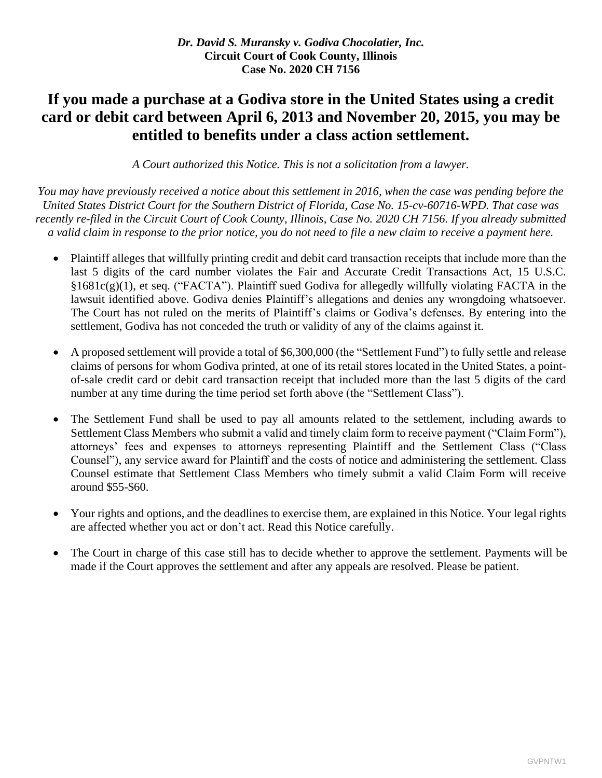# **If you made a purchase at a Godiva store in the United States using a credit card or debit card between April 6, 2013 and November 20, 2015, you may be entitled to benefits under a class action settlement.**

*A Court authorized this Notice. This is not a solicitation from a lawyer.*

*You may have previously received a notice about this settlement in 2016, when the case was pending before the United States District Court for the Southern District of Florida, Case No. 15-cv-60716-WPD. That case was*  recently re-filed in the Circuit Court of Cook County, Illinois, Case No. 2020 CH 7156. If you already submitted *a valid claim in response to the prior notice, you do not need to file a new claim to receive a payment here.*

- Plaintiff alleges that willfully printing credit and debit card transaction receipts that include more than the last 5 digits of the card number violates the Fair and Accurate Credit Transactions Act, 15 U.S.C. §1681c(g)(1), et seq. ("FACTA"). Plaintiff sued Godiva for allegedly willfully violating FACTA in the lawsuit identified above. Godiva denies Plaintiff's allegations and denies any wrongdoing whatsoever. The Court has not ruled on the merits of Plaintiff's claims or Godiva's defenses. By entering into the settlement, Godiva has not conceded the truth or validity of any of the claims against it.
- A proposed settlement will provide a total of \$6,300,000 (the "Settlement Fund") to fully settle and release claims of persons for whom Godiva printed, at one of its retail stores located in the United States, a pointof-sale credit card or debit card transaction receipt that included more than the last 5 digits of the card number at any time during the time period set forth above (the "Settlement Class").
- The Settlement Fund shall be used to pay all amounts related to the settlement, including awards to Settlement Class Members who submit a valid and timely claim form to receive payment ("Claim Form"), attorneys' fees and expenses to attorneys representing Plaintiff and the Settlement Class ("Class Counsel"), any service award for Plaintiff and the costs of notice and administering the settlement. Class Counsel estimate that Settlement Class Members who timely submit a valid Claim Form will receive around \$55-\$60.
- Your rights and options, and the deadlines to exercise them, are explained in this Notice. Your legal rights are affected whether you act or don't act. Read this Notice carefully.
- The Court in charge of this case still has to decide whether to approve the settlement. Payments will be made if the Court approves the settlement and after any appeals are resolved. Please be patient.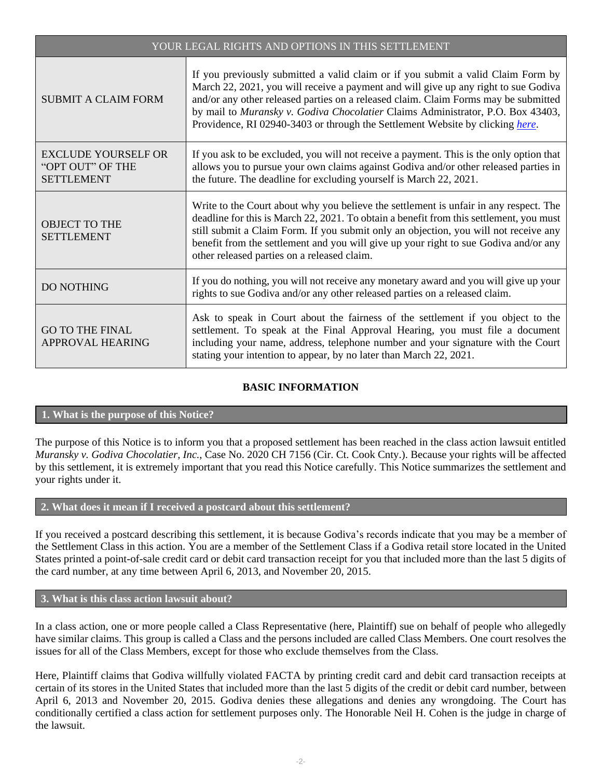| YOUR LEGAL RIGHTS AND OPTIONS IN THIS SETTLEMENT                    |                                                                                                                                                                                                                                                                                                                                                                                                                                    |
|---------------------------------------------------------------------|------------------------------------------------------------------------------------------------------------------------------------------------------------------------------------------------------------------------------------------------------------------------------------------------------------------------------------------------------------------------------------------------------------------------------------|
| <b>SUBMIT A CLAIM FORM</b>                                          | If you previously submitted a valid claim or if you submit a valid Claim Form by<br>March 22, 2021, you will receive a payment and will give up any right to sue Godiva<br>and/or any other released parties on a released claim. Claim Forms may be submitted<br>by mail to Muransky v. Godiva Chocolatier Claims Administrator, P.O. Box 43403,<br>Providence, RI 02940-3403 or through the Settlement Website by clicking here. |
| <b>EXCLUDE YOURSELF OR</b><br>"OPT OUT" OF THE<br><b>SETTLEMENT</b> | If you ask to be excluded, you will not receive a payment. This is the only option that<br>allows you to pursue your own claims against Godiva and/or other released parties in<br>the future. The deadline for excluding yourself is March 22, 2021.                                                                                                                                                                              |
| <b>OBJECT TO THE</b><br><b>SETTLEMENT</b>                           | Write to the Court about why you believe the settlement is unfair in any respect. The<br>deadline for this is March 22, 2021. To obtain a benefit from this settlement, you must<br>still submit a Claim Form. If you submit only an objection, you will not receive any<br>benefit from the settlement and you will give up your right to sue Godiva and/or any<br>other released parties on a released claim.                    |
| DO NOTHING                                                          | If you do nothing, you will not receive any monetary award and you will give up your<br>rights to sue Godiva and/or any other released parties on a released claim.                                                                                                                                                                                                                                                                |
| <b>GO TO THE FINAL</b><br>APPROVAL HEARING                          | Ask to speak in Court about the fairness of the settlement if you object to the<br>settlement. To speak at the Final Approval Hearing, you must file a document<br>including your name, address, telephone number and your signature with the Court<br>stating your intention to appear, by no later than March 22, 2021.                                                                                                          |

# **BASIC INFORMATION**

## **1. What is the purpose of this Notice?**

The purpose of this Notice is to inform you that a proposed settlement has been reached in the class action lawsuit entitled *Muransky v. Godiva Chocolatier, Inc.*, Case No. 2020 CH 7156 (Cir. Ct. Cook Cnty.). Because your rights will be affected by this settlement, it is extremely important that you read this Notice carefully. This Notice summarizes the settlement and your rights under it.

## **2. What does it mean if I received a postcard about this settlement?**

If you received a postcard describing this settlement, it is because Godiva's records indicate that you may be a member of the Settlement Class in this action. You are a member of the Settlement Class if a Godiva retail store located in the United States printed a point-of-sale credit card or debit card transaction receipt for you that included more than the last 5 digits of the card number, at any time between April 6, 2013, and November 20, 2015.

## **3. What is this class action lawsuit about?**

In a class action, one or more people called a Class Representative (here, Plaintiff) sue on behalf of people who allegedly have similar claims. This group is called a Class and the persons included are called Class Members. One court resolves the issues for all of the Class Members, except for those who exclude themselves from the Class.

Here, Plaintiff claims that Godiva willfully violated FACTA by printing credit card and debit card transaction receipts at certain of its stores in the United States that included more than the last 5 digits of the credit or debit card number, between April 6, 2013 and November 20, 2015. Godiva denies these allegations and denies any wrongdoing. The Court has conditionally certified a class action for settlement purposes only. The Honorable Neil H. Cohen is the judge in charge of the lawsuit.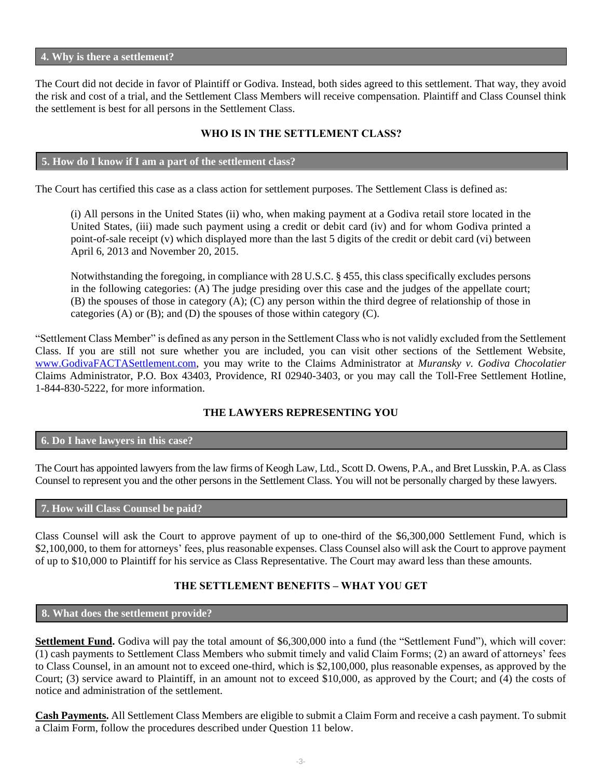#### **4. Why is there a settlement?**

The Court did not decide in favor of Plaintiff or Godiva. Instead, both sides agreed to this settlement. That way, they avoid the risk and cost of a trial, and the Settlement Class Members will receive compensation. Plaintiff and Class Counsel think the settlement is best for all persons in the Settlement Class.

# **WHO IS IN THE SETTLEMENT CLASS?**

## **5. How do I know if I am a part of the settlement class?**

The Court has certified this case as a class action for settlement purposes. The Settlement Class is defined as:

(i) All persons in the United States (ii) who, when making payment at a Godiva retail store located in the United States, (iii) made such payment using a credit or debit card (iv) and for whom Godiva printed a point-of-sale receipt (v) which displayed more than the last 5 digits of the credit or debit card (vi) between April 6, 2013 and November 20, 2015.

Notwithstanding the foregoing, in compliance with 28 U.S.C. § 455, this class specifically excludes persons in the following categories: (A) The judge presiding over this case and the judges of the appellate court; (B) the spouses of those in category (A); (C) any person within the third degree of relationship of those in categories (A) or (B); and (D) the spouses of those within category (C).

"Settlement Class Member" is defined as any person in the Settlement Class who is not validly excluded from the Settlement Class. If you are still not sure whether you are included, you can visit other sections of the Settlement Website, [www.GodivaFACTASettlement.com,](http://www.godivafactasettlement.com/) you may write to the Claims Administrator at *Muransky v. Godiva Chocolatier* Claims Administrator, P.O. Box 43403, Providence, RI 02940-3403, or you may call the Toll-Free Settlement Hotline, 1-844-830-5222, for more information.

# **THE LAWYERS REPRESENTING YOU**

# **6. Do I have lawyers in this case?**

The Court has appointed lawyers from the law firms of Keogh Law, Ltd., Scott D. Owens, P.A., and Bret Lusskin, P.A. as Class Counsel to represent you and the other persons in the Settlement Class. You will not be personally charged by these lawyers.

## **7. How will Class Counsel be paid?**

Class Counsel will ask the Court to approve payment of up to one-third of the \$6,300,000 Settlement Fund, which is \$2,100,000, to them for attorneys' fees, plus reasonable expenses. Class Counsel also will ask the Court to approve payment of up to \$10,000 to Plaintiff for his service as Class Representative. The Court may award less than these amounts.

# **THE SETTLEMENT BENEFITS – WHAT YOU GET**

## **8. What does the settlement provide?**

**Settlement Fund.** Godiva will pay the total amount of \$6,300,000 into a fund (the "Settlement Fund"), which will cover: (1) cash payments to Settlement Class Members who submit timely and valid Claim Forms; (2) an award of attorneys' fees to Class Counsel, in an amount not to exceed one-third, which is \$2,100,000, plus reasonable expenses, as approved by the Court; (3) service award to Plaintiff, in an amount not to exceed \$10,000, as approved by the Court; and (4) the costs of notice and administration of the settlement.

**Cash Payments.** All Settlement Class Members are eligible to submit a Claim Form and receive a cash payment. To submit a Claim Form, follow the procedures described under Question 11 below.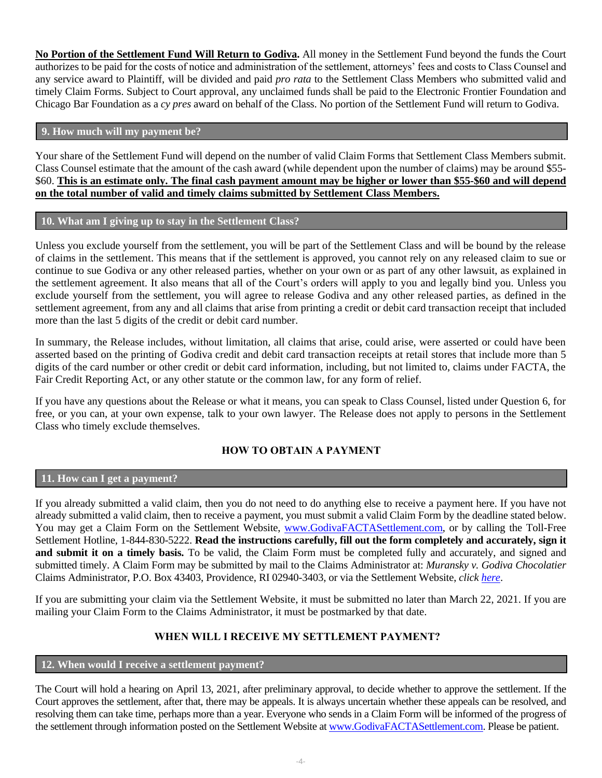**No Portion of the Settlement Fund Will Return to Godiva.** All money in the Settlement Fund beyond the funds the Court authorizes to be paid for the costs of notice and administration of the settlement, attorneys' fees and costs to Class Counsel and any service award to Plaintiff, will be divided and paid *pro rata* to the Settlement Class Members who submitted valid and timely Claim Forms. Subject to Court approval, any unclaimed funds shall be paid to the Electronic Frontier Foundation and Chicago Bar Foundation as a *cy pres* award on behalf of the Class. No portion of the Settlement Fund will return to Godiva.

## **9. How much will my payment be?**

Your share of the Settlement Fund will depend on the number of valid Claim Forms that Settlement Class Members submit. Class Counsel estimate that the amount of the cash award (while dependent upon the number of claims) may be around \$55- \$60. **This is an estimate only. The final cash payment amount may be higher or lower than \$55-\$60 and will depend on the total number of valid and timely claims submitted by Settlement Class Members.**

# **10. What am I giving up to stay in the Settlement Class?**

Unless you exclude yourself from the settlement, you will be part of the Settlement Class and will be bound by the release of claims in the settlement. This means that if the settlement is approved, you cannot rely on any released claim to sue or continue to sue Godiva or any other released parties, whether on your own or as part of any other lawsuit, as explained in the settlement agreement. It also means that all of the Court's orders will apply to you and legally bind you. Unless you exclude yourself from the settlement, you will agree to release Godiva and any other released parties, as defined in the settlement agreement, from any and all claims that arise from printing a credit or debit card transaction receipt that included more than the last 5 digits of the credit or debit card number.

In summary, the Release includes, without limitation, all claims that arise, could arise, were asserted or could have been asserted based on the printing of Godiva credit and debit card transaction receipts at retail stores that include more than 5 digits of the card number or other credit or debit card information, including, but not limited to, claims under FACTA, the Fair Credit Reporting Act, or any other statute or the common law, for any form of relief.

If you have any questions about the Release or what it means, you can speak to Class Counsel, listed under Question 6, for free, or you can, at your own expense, talk to your own lawyer. The Release does not apply to persons in the Settlement Class who timely exclude themselves.

# **HOW TO OBTAIN A PAYMENT**

## **11. How can I get a payment?**

If you already submitted a valid claim, then you do not need to do anything else to receive a payment here. If you have not already submitted a valid claim, then to receive a payment, you must submit a valid Claim Form by the deadline stated below. You may get a Claim Form on the Settlement Website, [www.GodivaFACTASettlement.com,](http://www.godivafactasettlement.com/) or by calling the Toll-Free Settlement Hotline, 1-844-830-5222. **Read the instructions carefully, fill out the form completely and accurately, sign it and submit it on a timely basis.** To be valid, the Claim Form must be completed fully and accurately, and signed and submitted timely. A Claim Form may be submitted by mail to the Claims Administrator at: *Muransky v. Godiva Chocolatier* Claims Administrator, P.O. Box 43403, Providence, RI 02940-3403, or via the Settlement Website, *click [here](http://www.godivafactasettlement.com/)*.

If you are submitting your claim via the Settlement Website, it must be submitted no later than March 22, 2021. If you are mailing your Claim Form to the Claims Administrator, it must be postmarked by that date.

# **WHEN WILL I RECEIVE MY SETTLEMENT PAYMENT?**

## **12. When would I receive a settlement payment?**

The Court will hold a hearing on April 13, 2021, after preliminary approval, to decide whether to approve the settlement. If the Court approves the settlement, after that, there may be appeals. It is always uncertain whether these appeals can be resolved, and resolving them can take time, perhaps more than a year. Everyone who sends in a Claim Form will be informed of the progress of the settlement through information posted on the Settlement Website at [www.GodivaFACTASettlement.com.](http://www.godivafactasettlement.com/) Please be patient.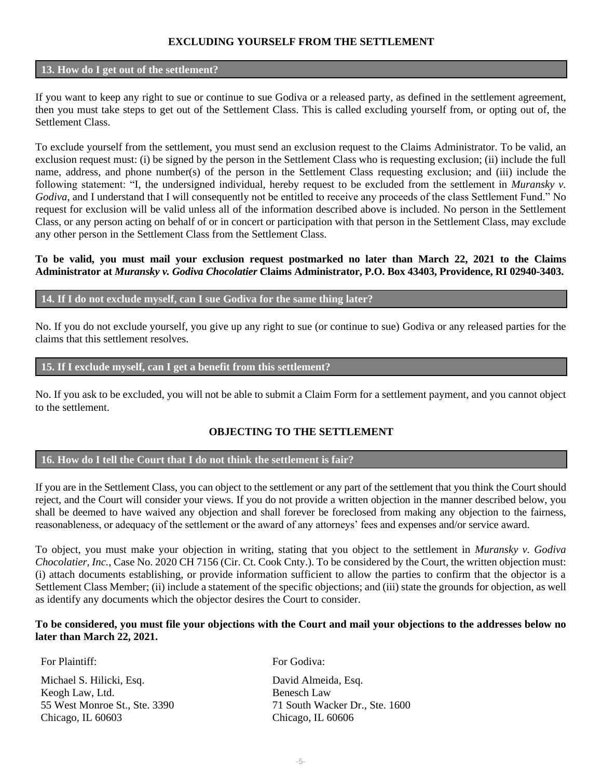## **EXCLUDING YOURSELF FROM THE SETTLEMENT**

#### **13. How do I get out of the settlement?**

If you want to keep any right to sue or continue to sue Godiva or a released party, as defined in the settlement agreement, then you must take steps to get out of the Settlement Class. This is called excluding yourself from, or opting out of, the Settlement Class.

To exclude yourself from the settlement, you must send an exclusion request to the Claims Administrator. To be valid, an exclusion request must: (i) be signed by the person in the Settlement Class who is requesting exclusion; (ii) include the full name, address, and phone number(s) of the person in the Settlement Class requesting exclusion; and (iii) include the following statement: "I, the undersigned individual, hereby request to be excluded from the settlement in *Muransky v. Godiva*, and I understand that I will consequently not be entitled to receive any proceeds of the class Settlement Fund." No request for exclusion will be valid unless all of the information described above is included. No person in the Settlement Class, or any person acting on behalf of or in concert or participation with that person in the Settlement Class, may exclude any other person in the Settlement Class from the Settlement Class.

#### **To be valid, you must mail your exclusion request postmarked no later than March 22, 2021 to the Claims Administrator at** *Muransky v. Godiva Chocolatier* **Claims Administrator, P.O. Box 43403, Providence, RI 02940-3403.**

#### **14. If I do not exclude myself, can I sue Godiva for the same thing later?**

No. If you do not exclude yourself, you give up any right to sue (or continue to sue) Godiva or any released parties for the claims that this settlement resolves.

#### **15. If I exclude myself, can I get a benefit from this settlement?**

No. If you ask to be excluded, you will not be able to submit a Claim Form for a settlement payment, and you cannot object to the settlement.

## **OBJECTING TO THE SETTLEMENT**

## **16. How do I tell the Court that I do not think the settlement is fair?**

If you are in the Settlement Class, you can object to the settlement or any part of the settlement that you think the Court should reject, and the Court will consider your views. If you do not provide a written objection in the manner described below, you shall be deemed to have waived any objection and shall forever be foreclosed from making any objection to the fairness, reasonableness, or adequacy of the settlement or the award of any attorneys' fees and expenses and/or service award.

To object, you must make your objection in writing, stating that you object to the settlement in *Muransky v. Godiva Chocolatier, Inc.*, Case No. 2020 CH 7156 (Cir. Ct. Cook Cnty.). To be considered by the Court, the written objection must: (i) attach documents establishing, or provide information sufficient to allow the parties to confirm that the objector is a Settlement Class Member; (ii) include a statement of the specific objections; and (iii) state the grounds for objection, as well as identify any documents which the objector desires the Court to consider.

## **To be considered, you must file your objections with the Court and mail your objections to the addresses below no later than March 22, 2021.**

For Plaintiff:

Michael S. Hilicki, Esq. Keogh Law, Ltd. 55 West Monroe St., Ste. 3390 Chicago, IL 60603

For Godiva:

David Almeida, Esq. Benesch Law 71 South Wacker Dr., Ste. 1600 Chicago, IL 60606